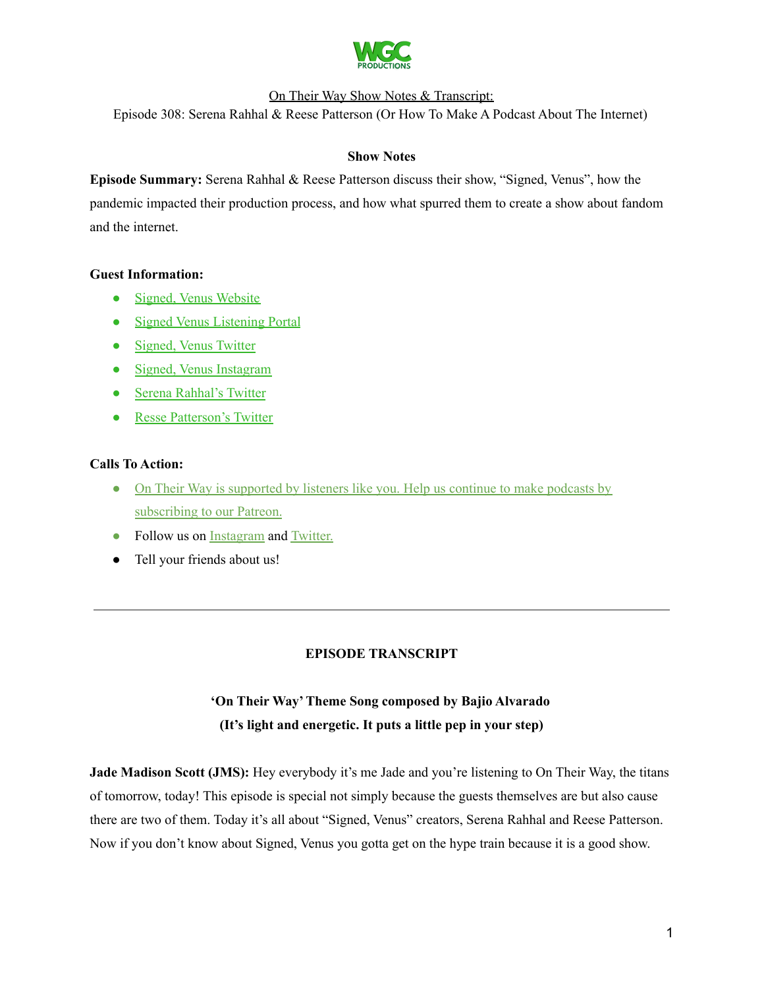

Episode 308: Serena Rahhal & Reese Patterson (Or How To Make A Podcast About The Internet)

### **Show Notes**

**Episode Summary:** Serena Rahhal & Reese Patterson discuss their show, "Signed, Venus", how the pandemic impacted their production process, and how what spurred them to create a show about fandom and the internet.

### **Guest Information:**

- Signed, Venus [Website](https://signedvenus.com/)
- Signed Venus [Listening](https://signedvenus.com/listen) Portal
- [Signed,](https://twitter.com/signedvenus) Venus Twitter
- Signed, Venus [Instagram](https://www.instagram.com/signedvenus/?hl=en)
- Serena [Rahhal's](https://twitter.com/elevenverses) Twitter
- Resse [Patterson's](https://twitter.com/exolexic) Twitter

### **Calls To Action:**

- On Their Way is [supported](https://www.patreon.com/withgoodco) by listeners like you. Help us continue to make podcasts by [subscribing](https://www.patreon.com/withgoodco) to our Patreon.
- Follow us on [Instagram](https://www.instagram.com/withgoodco/) and [Twitter.](https://twitter.com/WithGoodCo)
- Tell your friends about us!

## **EPISODE TRANSCRIPT**

# **'On Their Way'Theme Song composed by Bajio Alvarado (It's light and energetic. It puts a little pep in your step)**

**Jade Madison Scott (JMS):** Hey everybody it's me Jade and you're listening to On Their Way, the titans of tomorrow, today! This episode is special not simply because the guests themselves are but also cause there are two of them. Today it's all about "Signed, Venus" creators, Serena Rahhal and Reese Patterson. Now if you don't know about Signed, Venus you gotta get on the hype train because it is a good show.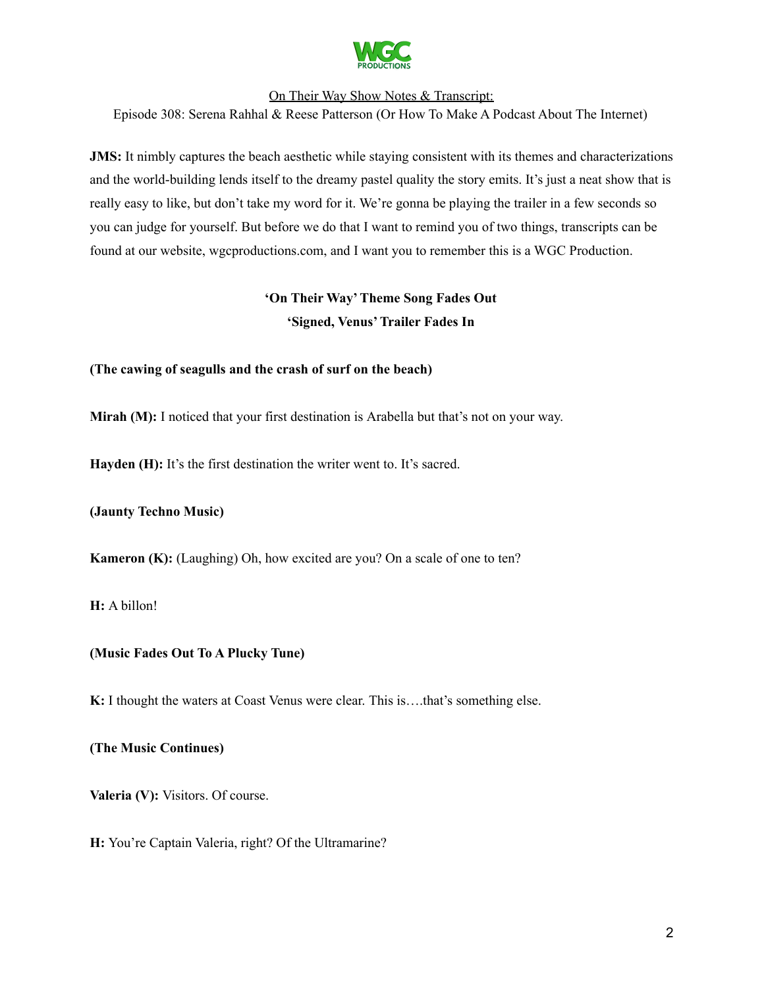

Episode 308: Serena Rahhal & Reese Patterson (Or How To Make A Podcast About The Internet)

**JMS:** It nimbly captures the beach aesthetic while staying consistent with its themes and characterizations and the world-building lends itself to the dreamy pastel quality the story emits. It's just a neat show that is really easy to like, but don't take my word for it. We're gonna be playing the trailer in a few seconds so you can judge for yourself. But before we do that I want to remind you of two things, transcripts can be found at our website, wgcproductions.com, and I want you to remember this is a WGC Production.

# **'On Their Way'Theme Song Fades Out 'Signed, Venus'Trailer Fades In**

### **(The cawing of seagulls and the crash of surf on the beach)**

**Mirah (M):** I noticed that your first destination is Arabella but that's not on your way.

**Hayden (H):** It's the first destination the writer went to. It's sacred.

**(Jaunty Techno Music)**

**Kameron (K):** (Laughing) Oh, how excited are you? On a scale of one to ten?

**H:** A billon!

### **(Music Fades Out To A Plucky Tune)**

**K:** I thought the waters at Coast Venus were clear. This is….that's something else.

### **(The Music Continues)**

**Valeria (V):** Visitors. Of course.

**H:** You're Captain Valeria, right? Of the Ultramarine?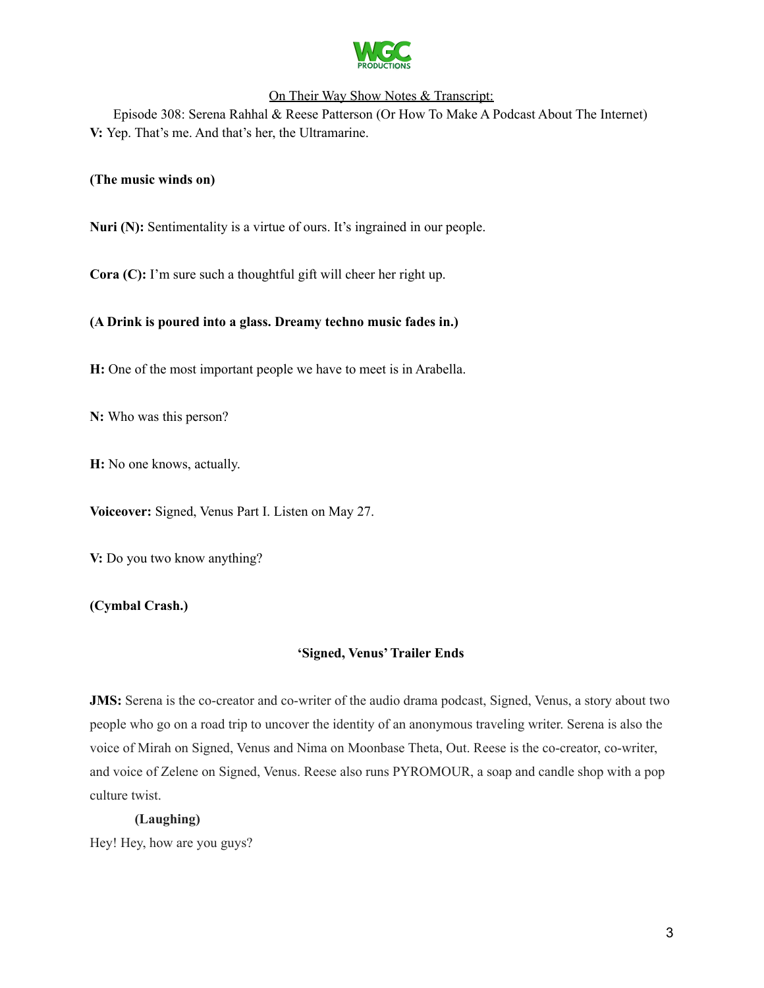

Episode 308: Serena Rahhal & Reese Patterson (Or How To Make A Podcast About The Internet) **V:** Yep. That's me. And that's her, the Ultramarine.

### **(The music winds on)**

**Nuri (N):** Sentimentality is a virtue of ours. It's ingrained in our people.

**Cora (C):** I'm sure such a thoughtful gift will cheer her right up.

### **(A Drink is poured into a glass. Dreamy techno music fades in.)**

**H:** One of the most important people we have to meet is in Arabella.

**N:** Who was this person?

**H:** No one knows, actually.

**Voiceover:** Signed, Venus Part I. Listen on May 27.

**V:** Do you two know anything?

**(Cymbal Crash.)**

### **'Signed, Venus'Trailer Ends**

**JMS:** Serena is the co-creator and co-writer of the audio drama podcast, Signed, Venus, a story about two people who go on a road trip to uncover the identity of an anonymous traveling writer. Serena is also the voice of Mirah on Signed, Venus and Nima on Moonbase Theta, Out. Reese is the co-creator, co-writer, and voice of Zelene on Signed, Venus. Reese also runs PYROMOUR, a soap and candle shop with a pop culture twist.

### **(Laughing)**

Hey! Hey, how are you guys?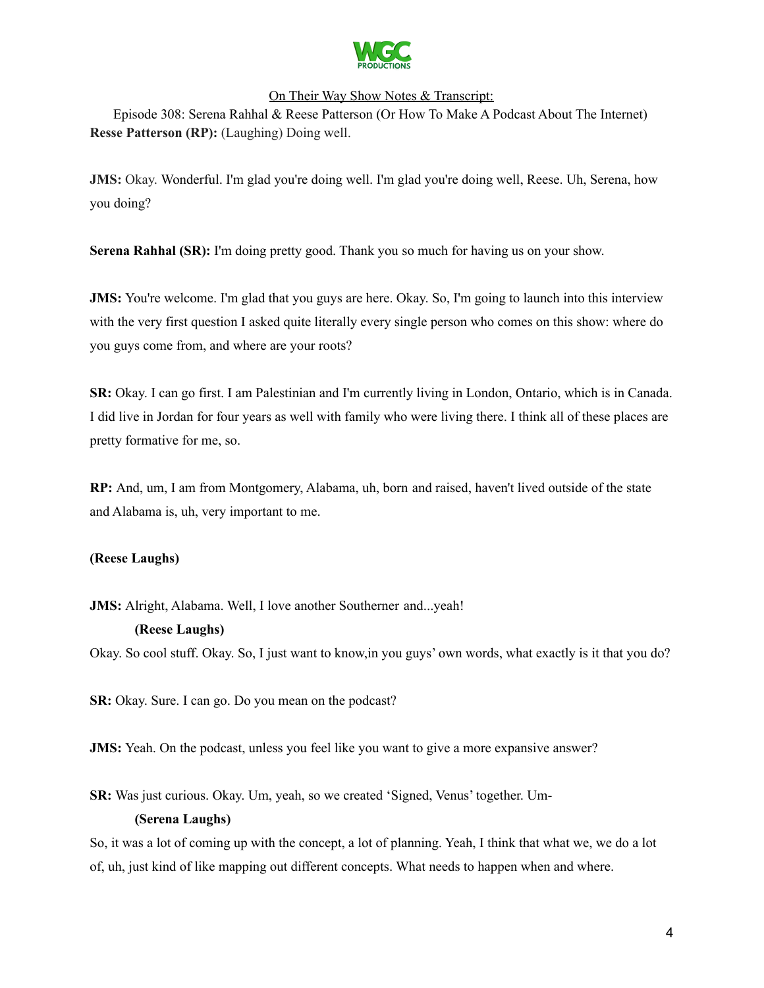

Episode 308: Serena Rahhal & Reese Patterson (Or How To Make A Podcast About The Internet) **Resse Patterson (RP):** (Laughing) Doing well.

**JMS:** Okay. Wonderful. I'm glad you're doing well. I'm glad you're doing well, Reese. Uh, Serena, how you doing?

**Serena Rahhal (SR):** I'm doing pretty good. Thank you so much for having us on your show.

**JMS:** You're welcome. I'm glad that you guys are here. Okay. So, I'm going to launch into this interview with the very first question I asked quite literally every single person who comes on this show: where do you guys come from, and where are your roots?

**SR:** Okay. I can go first. I am Palestinian and I'm currently living in London, Ontario, which is in Canada. I did live in Jordan for four years as well with family who were living there. I think all of these places are pretty formative for me, so.

**RP:** And, um, I am from Montgomery, Alabama, uh, born and raised, haven't lived outside of the state and Alabama is, uh, very important to me.

### **(Reese Laughs)**

**JMS:** Alright, Alabama. Well, I love another Southerner and...yeah!

### **(Reese Laughs)**

Okay. So cool stuff. Okay. So, I just want to know,in you guys' own words, what exactly is it that you do?

**SR:** Okay. Sure. I can go. Do you mean on the podcast?

**JMS:** Yeah. On the podcast, unless you feel like you want to give a more expansive answer?

**SR:** Was just curious. Okay. Um, yeah, so we created 'Signed, Venus' together. Um-

### **(Serena Laughs)**

So, it was a lot of coming up with the concept, a lot of planning. Yeah, I think that what we, we do a lot of, uh, just kind of like mapping out different concepts. What needs to happen when and where.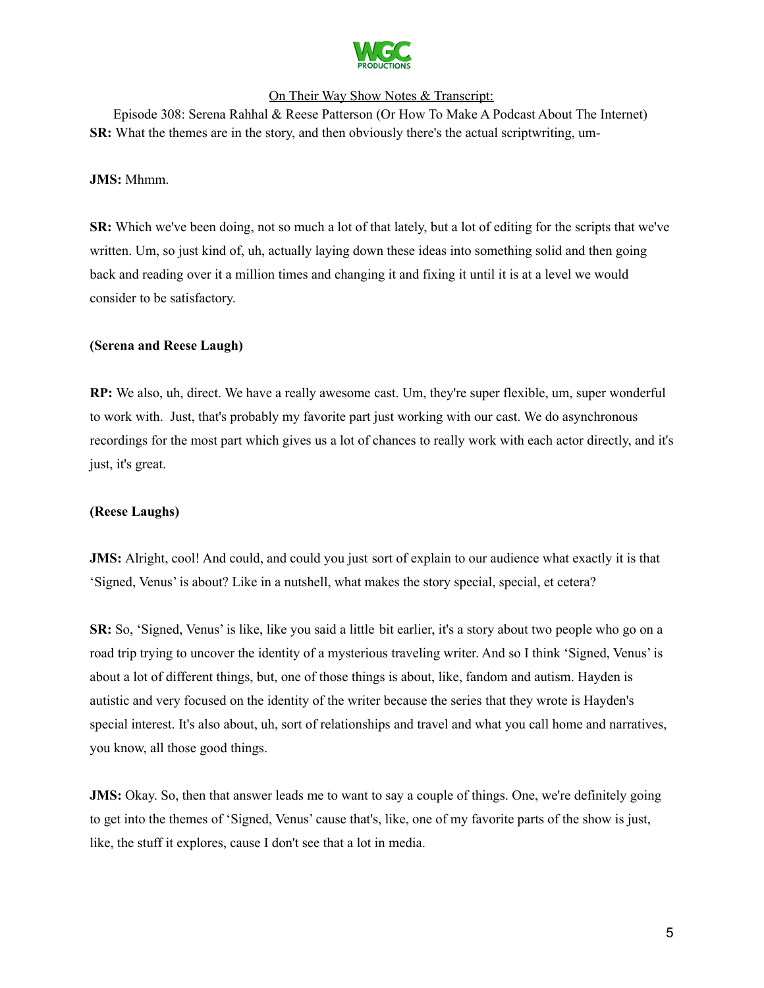

Episode 308: Serena Rahhal & Reese Patterson (Or How To Make A Podcast About The Internet) **SR:** What the themes are in the story, and then obviously there's the actual scriptwriting, um-

#### **JMS:** Mhmm.

**SR:** Which we've been doing, not so much a lot of that lately, but a lot of editing for the scripts that we've written. Um, so just kind of, uh, actually laying down these ideas into something solid and then going back and reading over it a million times and changing it and fixing it until it is at a level we would consider to be satisfactory.

#### **(Serena and Reese Laugh)**

**RP:** We also, uh, direct. We have a really awesome cast. Um, they're super flexible, um, super wonderful to work with. Just, that's probably my favorite part just working with our cast. We do asynchronous recordings for the most part which gives us a lot of chances to really work with each actor directly, and it's just, it's great.

#### **(Reese Laughs)**

**JMS:** Alright, cool! And could, and could you just sort of explain to our audience what exactly it is that 'Signed, Venus' is about? Like in a nutshell, what makes the story special, special, et cetera?

**SR:** So, 'Signed, Venus' is like, like you said a little bit earlier, it's a story about two people who go on a road trip trying to uncover the identity of a mysterious traveling writer. And so I think 'Signed, Venus' is about a lot of different things, but, one of those things is about, like, fandom and autism. Hayden is autistic and very focused on the identity of the writer because the series that they wrote is Hayden's special interest. It's also about, uh, sort of relationships and travel and what you call home and narratives, you know, all those good things.

**JMS:** Okay. So, then that answer leads me to want to say a couple of things. One, we're definitely going to get into the themes of 'Signed, Venus' cause that's, like, one of my favorite parts of the show is just, like, the stuff it explores, cause I don't see that a lot in media.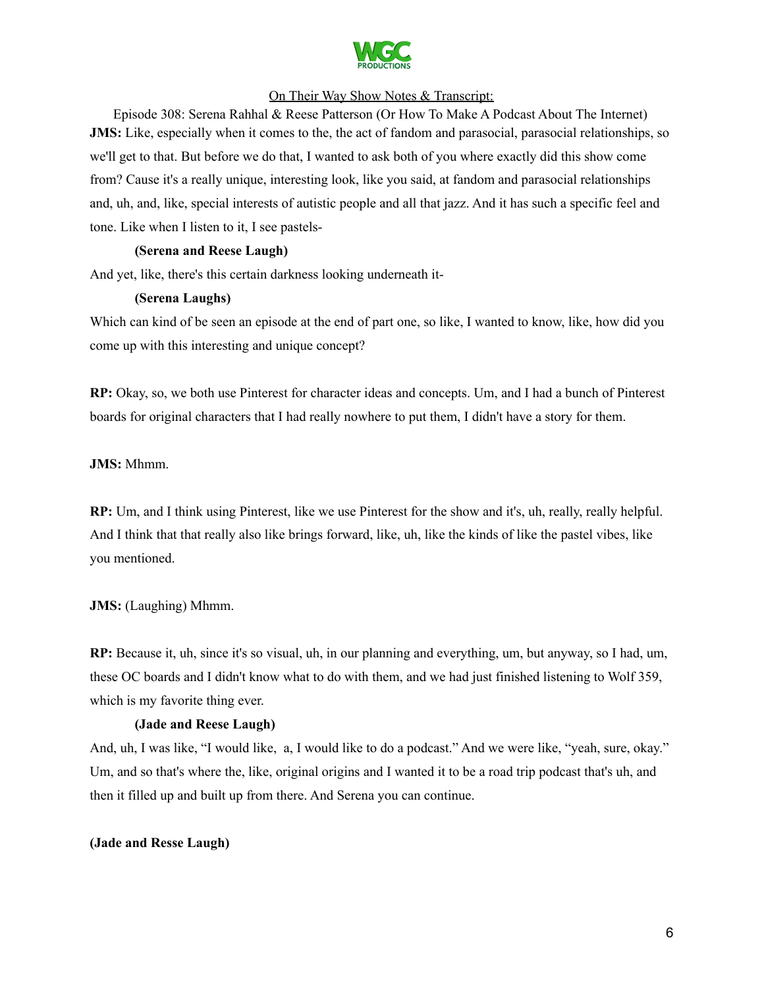

Episode 308: Serena Rahhal & Reese Patterson (Or How To Make A Podcast About The Internet) **JMS:** Like, especially when it comes to the, the act of fandom and parasocial, parasocial relationships, so we'll get to that. But before we do that, I wanted to ask both of you where exactly did this show come from? Cause it's a really unique, interesting look, like you said, at fandom and parasocial relationships and, uh, and, like, special interests of autistic people and all that jazz. And it has such a specific feel and tone. Like when I listen to it, I see pastels-

### **(Serena and Reese Laugh)**

And yet, like, there's this certain darkness looking underneath it-

### **(Serena Laughs)**

Which can kind of be seen an episode at the end of part one, so like, I wanted to know, like, how did you come up with this interesting and unique concept?

**RP:** Okay, so, we both use Pinterest for character ideas and concepts. Um, and I had a bunch of Pinterest boards for original characters that I had really nowhere to put them, I didn't have a story for them.

**JMS:** Mhmm.

**RP:** Um, and I think using Pinterest, like we use Pinterest for the show and it's, uh, really, really helpful. And I think that that really also like brings forward, like, uh, like the kinds of like the pastel vibes, like you mentioned.

**JMS:** (Laughing) Mhmm.

**RP:** Because it, uh, since it's so visual, uh, in our planning and everything, um, but anyway, so I had, um, these OC boards and I didn't know what to do with them, and we had just finished listening to Wolf 359, which is my favorite thing ever.

### **(Jade and Reese Laugh)**

And, uh, I was like, "I would like, a, I would like to do a podcast." And we were like, "yeah, sure, okay." Um, and so that's where the, like, original origins and I wanted it to be a road trip podcast that's uh, and then it filled up and built up from there. And Serena you can continue.

### **(Jade and Resse Laugh)**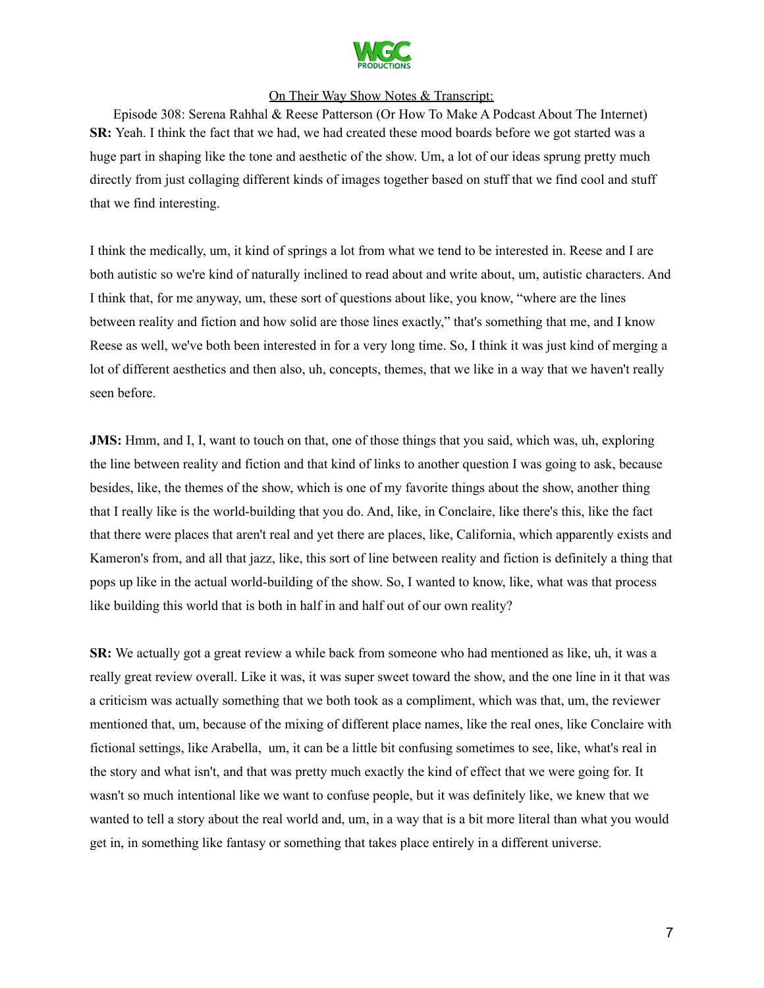

Episode 308: Serena Rahhal & Reese Patterson (Or How To Make A Podcast About The Internet) **SR:** Yeah. I think the fact that we had, we had created these mood boards before we got started was a huge part in shaping like the tone and aesthetic of the show. Um, a lot of our ideas sprung pretty much directly from just collaging different kinds of images together based on stuff that we find cool and stuff that we find interesting.

I think the medically, um, it kind of springs a lot from what we tend to be interested in. Reese and I are both autistic so we're kind of naturally inclined to read about and write about, um, autistic characters. And I think that, for me anyway, um, these sort of questions about like, you know, "where are the lines between reality and fiction and how solid are those lines exactly," that's something that me, and I know Reese as well, we've both been interested in for a very long time. So, I think it was just kind of merging a lot of different aesthetics and then also, uh, concepts, themes, that we like in a way that we haven't really seen before.

**JMS:** Hmm, and I, I, want to touch on that, one of those things that you said, which was, uh, exploring the line between reality and fiction and that kind of links to another question I was going to ask, because besides, like, the themes of the show, which is one of my favorite things about the show, another thing that I really like is the world-building that you do. And, like, in Conclaire, like there's this, like the fact that there were places that aren't real and yet there are places, like, California, which apparently exists and Kameron's from, and all that jazz, like, this sort of line between reality and fiction is definitely a thing that pops up like in the actual world-building of the show. So, I wanted to know, like, what was that process like building this world that is both in half in and half out of our own reality?

**SR:** We actually got a great review a while back from someone who had mentioned as like, uh, it was a really great review overall. Like it was, it was super sweet toward the show, and the one line in it that was a criticism was actually something that we both took as a compliment, which was that, um, the reviewer mentioned that, um, because of the mixing of different place names, like the real ones, like Conclaire with fictional settings, like Arabella, um, it can be a little bit confusing sometimes to see, like, what's real in the story and what isn't, and that was pretty much exactly the kind of effect that we were going for. It wasn't so much intentional like we want to confuse people, but it was definitely like, we knew that we wanted to tell a story about the real world and, um, in a way that is a bit more literal than what you would get in, in something like fantasy or something that takes place entirely in a different universe.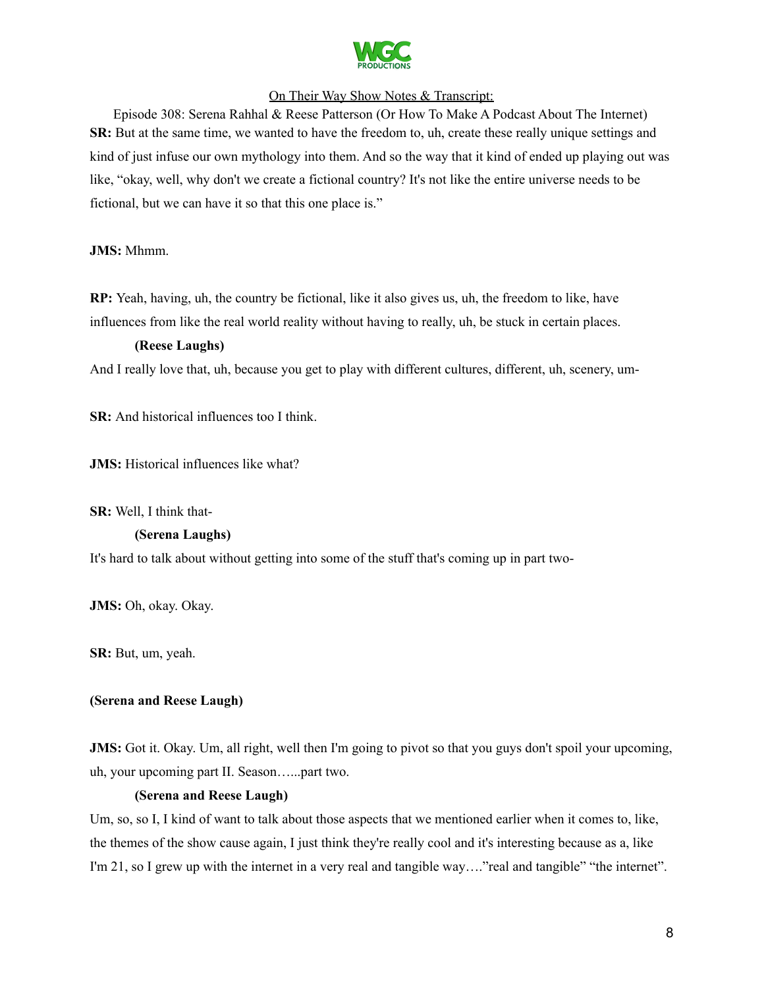

Episode 308: Serena Rahhal & Reese Patterson (Or How To Make A Podcast About The Internet) **SR:** But at the same time, we wanted to have the freedom to, uh, create these really unique settings and kind of just infuse our own mythology into them. And so the way that it kind of ended up playing out was like, "okay, well, why don't we create a fictional country? It's not like the entire universe needs to be fictional, but we can have it so that this one place is."

### **JMS:** Mhmm.

**RP:** Yeah, having, uh, the country be fictional, like it also gives us, uh, the freedom to like, have influences from like the real world reality without having to really, uh, be stuck in certain places.

### **(Reese Laughs)**

And I really love that, uh, because you get to play with different cultures, different, uh, scenery, um-

**SR:** And historical influences too I think.

**JMS:** Historical influences like what?

**SR:** Well, I think that-

### **(Serena Laughs)**

It's hard to talk about without getting into some of the stuff that's coming up in part two-

**JMS:** Oh, okay. Okay.

**SR:** But, um, yeah.

### **(Serena and Reese Laugh)**

**JMS:** Got it. Okay. Um, all right, well then I'm going to pivot so that you guys don't spoil your upcoming, uh, your upcoming part II. Season…...part two.

### **(Serena and Reese Laugh)**

Um, so, so I, I kind of want to talk about those aspects that we mentioned earlier when it comes to, like, the themes of the show cause again, I just think they're really cool and it's interesting because as a, like I'm 21, so I grew up with the internet in a very real and tangible way...."real and tangible" "the internet".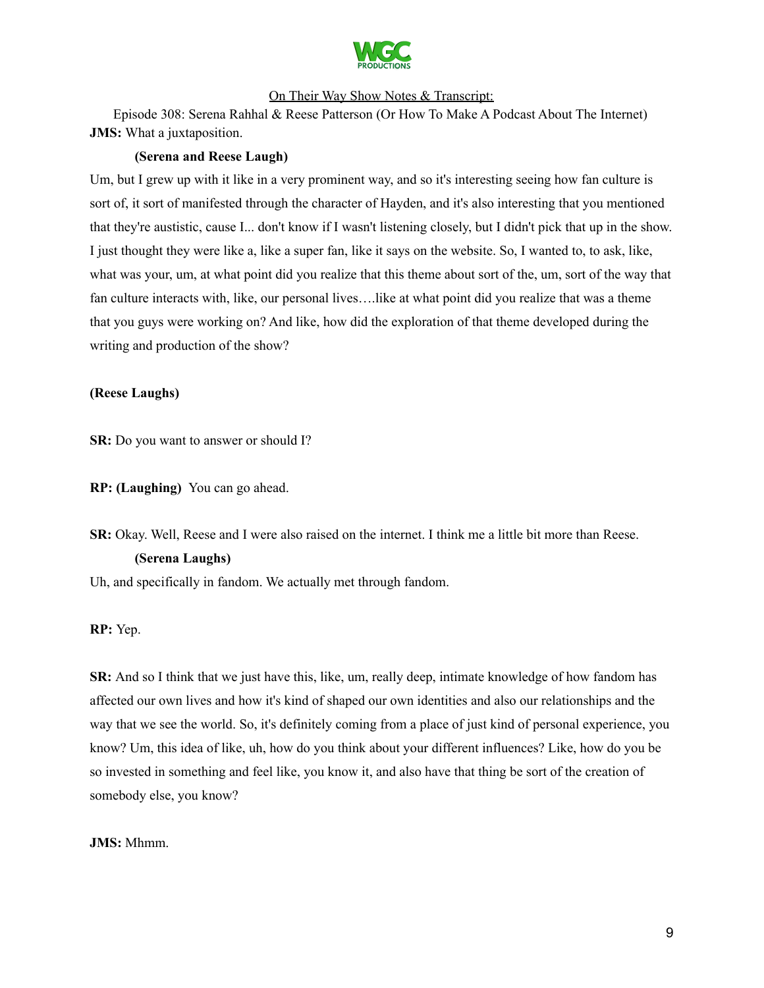

Episode 308: Serena Rahhal & Reese Patterson (Or How To Make A Podcast About The Internet) **JMS:** What a juxtaposition.

#### **(Serena and Reese Laugh)**

Um, but I grew up with it like in a very prominent way, and so it's interesting seeing how fan culture is sort of, it sort of manifested through the character of Hayden, and it's also interesting that you mentioned that they're austistic, cause I... don't know if I wasn't listening closely, but I didn't pick that up in the show. I just thought they were like a, like a super fan, like it says on the website. So, I wanted to, to ask, like, what was your, um, at what point did you realize that this theme about sort of the, um, sort of the way that fan culture interacts with, like, our personal lives….like at what point did you realize that was a theme that you guys were working on? And like, how did the exploration of that theme developed during the writing and production of the show?

#### **(Reese Laughs)**

**SR:** Do you want to answer or should I?

**RP: (Laughing)** You can go ahead.

**SR:** Okay. Well, Reese and I were also raised on the internet. I think me a little bit more than Reese.

### **(Serena Laughs)**

Uh, and specifically in fandom. We actually met through fandom.

**RP:** Yep.

**SR:** And so I think that we just have this, like, um, really deep, intimate knowledge of how fandom has affected our own lives and how it's kind of shaped our own identities and also our relationships and the way that we see the world. So, it's definitely coming from a place of just kind of personal experience, you know? Um, this idea of like, uh, how do you think about your different influences? Like, how do you be so invested in something and feel like, you know it, and also have that thing be sort of the creation of somebody else, you know?

#### **JMS:** Mhmm.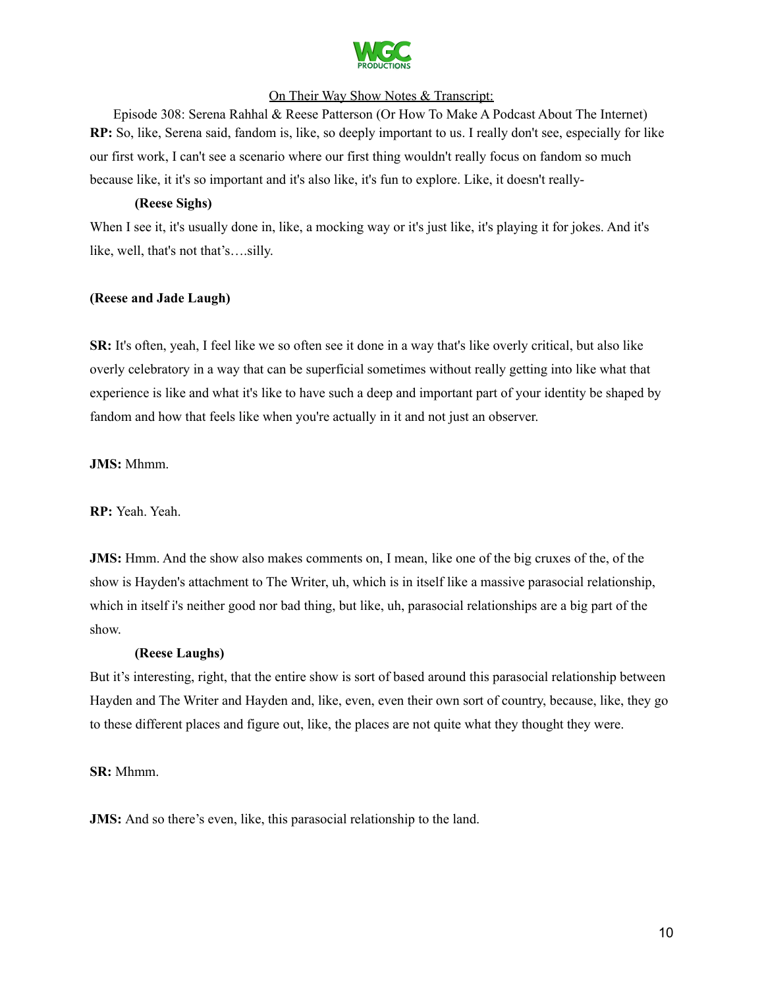

Episode 308: Serena Rahhal & Reese Patterson (Or How To Make A Podcast About The Internet) **RP:** So, like, Serena said, fandom is, like, so deeply important to us. I really don't see, especially for like our first work, I can't see a scenario where our first thing wouldn't really focus on fandom so much because like, it it's so important and it's also like, it's fun to explore. Like, it doesn't really-

### **(Reese Sighs)**

When I see it, it's usually done in, like, a mocking way or it's just like, it's playing it for jokes. And it's like, well, that's not that's….silly.

#### **(Reese and Jade Laugh)**

**SR:** It's often, yeah, I feel like we so often see it done in a way that's like overly critical, but also like overly celebratory in a way that can be superficial sometimes without really getting into like what that experience is like and what it's like to have such a deep and important part of your identity be shaped by fandom and how that feels like when you're actually in it and not just an observer.

**JMS:** Mhmm.

**RP:** Yeah. Yeah.

**JMS:** Hmm. And the show also makes comments on, I mean, like one of the big cruxes of the, of the show is Hayden's attachment to The Writer, uh, which is in itself like a massive parasocial relationship, which in itself i's neither good nor bad thing, but like, uh, parasocial relationships are a big part of the show.

#### **(Reese Laughs)**

But it's interesting, right, that the entire show is sort of based around this parasocial relationship between Hayden and The Writer and Hayden and, like, even, even their own sort of country, because, like, they go to these different places and figure out, like, the places are not quite what they thought they were.

#### **SR:** Mhmm.

**JMS:** And so there's even, like, this parasocial relationship to the land.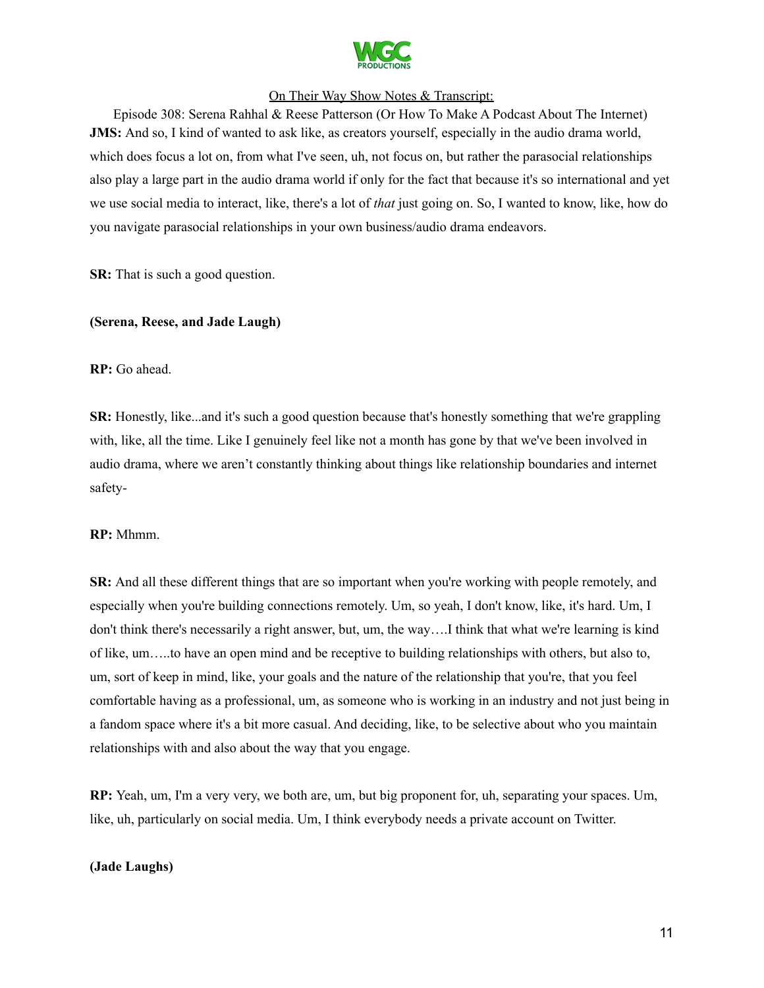

Episode 308: Serena Rahhal & Reese Patterson (Or How To Make A Podcast About The Internet) **JMS:** And so, I kind of wanted to ask like, as creators yourself, especially in the audio drama world, which does focus a lot on, from what I've seen, uh, not focus on, but rather the parasocial relationships also play a large part in the audio drama world if only for the fact that because it's so international and yet we use social media to interact, like, there's a lot of *that* just going on. So, I wanted to know, like, how do you navigate parasocial relationships in your own business/audio drama endeavors.

**SR:** That is such a good question.

### **(Serena, Reese, and Jade Laugh)**

#### **RP:** Go ahead.

**SR:** Honestly, like...and it's such a good question because that's honestly something that we're grappling with, like, all the time. Like I genuinely feel like not a month has gone by that we've been involved in audio drama, where we aren't constantly thinking about things like relationship boundaries and internet safety-

#### **RP:** Mhmm.

**SR:** And all these different things that are so important when you're working with people remotely, and especially when you're building connections remotely. Um, so yeah, I don't know, like, it's hard. Um, I don't think there's necessarily a right answer, but, um, the way….I think that what we're learning is kind of like, um…..to have an open mind and be receptive to building relationships with others, but also to, um, sort of keep in mind, like, your goals and the nature of the relationship that you're, that you feel comfortable having as a professional, um, as someone who is working in an industry and not just being in a fandom space where it's a bit more casual. And deciding, like, to be selective about who you maintain relationships with and also about the way that you engage.

**RP:** Yeah, um, I'm a very very, we both are, um, but big proponent for, uh, separating your spaces. Um, like, uh, particularly on social media. Um, I think everybody needs a private account on Twitter.

#### **(Jade Laughs)**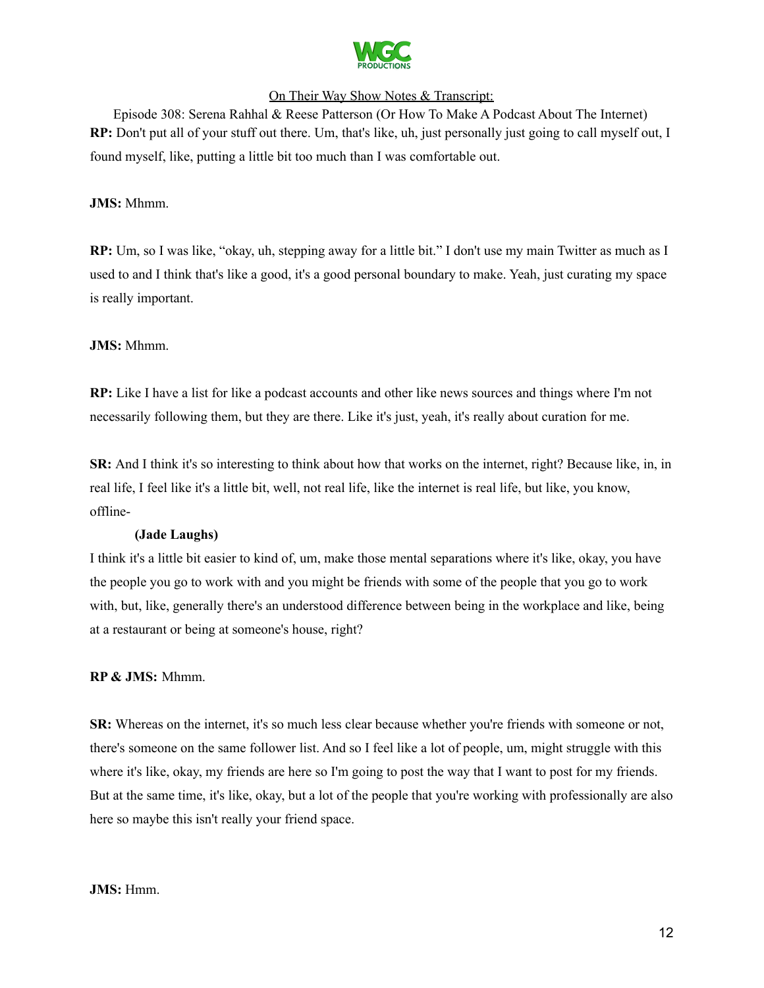

Episode 308: Serena Rahhal & Reese Patterson (Or How To Make A Podcast About The Internet) **RP:** Don't put all of your stuff out there. Um, that's like, uh, just personally just going to call myself out, I found myself, like, putting a little bit too much than I was comfortable out.

### **JMS:** Mhmm.

**RP:** Um, so I was like, "okay, uh, stepping away for a little bit." I don't use my main Twitter as much as I used to and I think that's like a good, it's a good personal boundary to make. Yeah, just curating my space is really important.

### **JMS:** Mhmm.

**RP:** Like I have a list for like a podcast accounts and other like news sources and things where I'm not necessarily following them, but they are there. Like it's just, yeah, it's really about curation for me.

**SR:** And I think it's so interesting to think about how that works on the internet, right? Because like, in, in real life, I feel like it's a little bit, well, not real life, like the internet is real life, but like, you know, offline-

### **(Jade Laughs)**

I think it's a little bit easier to kind of, um, make those mental separations where it's like, okay, you have the people you go to work with and you might be friends with some of the people that you go to work with, but, like, generally there's an understood difference between being in the workplace and like, being at a restaurant or being at someone's house, right?

### **RP & JMS:** Mhmm.

**SR:** Whereas on the internet, it's so much less clear because whether you're friends with someone or not, there's someone on the same follower list. And so I feel like a lot of people, um, might struggle with this where it's like, okay, my friends are here so I'm going to post the way that I want to post for my friends. But at the same time, it's like, okay, but a lot of the people that you're working with professionally are also here so maybe this isn't really your friend space.

#### **JMS:** Hmm.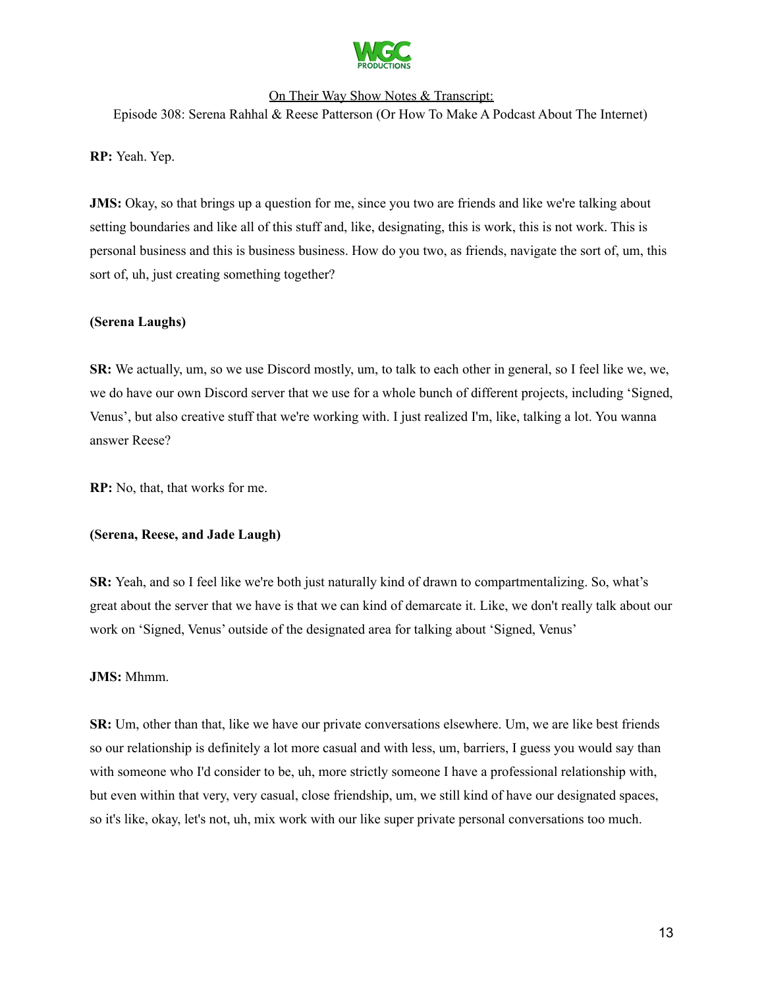

Episode 308: Serena Rahhal & Reese Patterson (Or How To Make A Podcast About The Internet)

**RP:** Yeah. Yep.

**JMS:** Okay, so that brings up a question for me, since you two are friends and like we're talking about setting boundaries and like all of this stuff and, like, designating, this is work, this is not work. This is personal business and this is business business. How do you two, as friends, navigate the sort of, um, this sort of, uh, just creating something together?

### **(Serena Laughs)**

**SR:** We actually, um, so we use Discord mostly, um, to talk to each other in general, so I feel like we, we, we do have our own Discord server that we use for a whole bunch of different projects, including 'Signed, Venus', but also creative stuff that we're working with. I just realized I'm, like, talking a lot. You wanna answer Reese?

**RP:** No, that, that works for me.

### **(Serena, Reese, and Jade Laugh)**

**SR:** Yeah, and so I feel like we're both just naturally kind of drawn to compartmentalizing. So, what's great about the server that we have is that we can kind of demarcate it. Like, we don't really talk about our work on 'Signed, Venus' outside of the designated area for talking about 'Signed, Venus'

### **JMS:** Mhmm.

**SR:** Um, other than that, like we have our private conversations elsewhere. Um, we are like best friends so our relationship is definitely a lot more casual and with less, um, barriers, I guess you would say than with someone who I'd consider to be, uh, more strictly someone I have a professional relationship with, but even within that very, very casual, close friendship, um, we still kind of have our designated spaces, so it's like, okay, let's not, uh, mix work with our like super private personal conversations too much.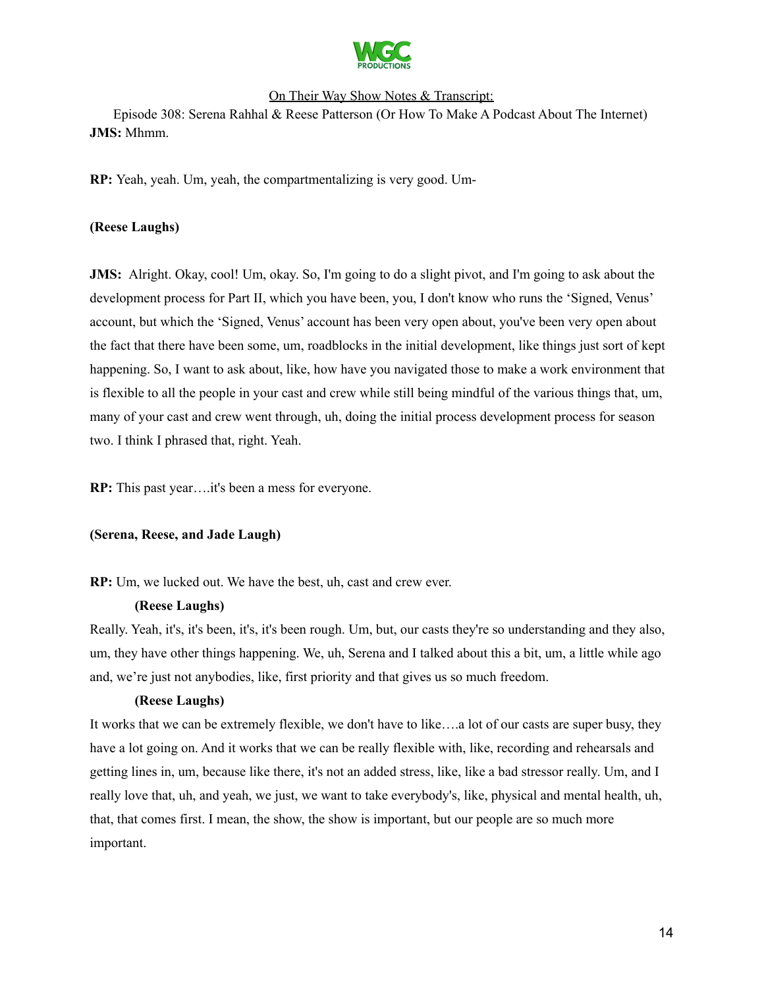

Episode 308: Serena Rahhal & Reese Patterson (Or How To Make A Podcast About The Internet) **JMS:** Mhmm.

**RP:** Yeah, yeah. Um, yeah, the compartmentalizing is very good. Um-

### **(Reese Laughs)**

**JMS:** Alright. Okay, cool! Um, okay. So, I'm going to do a slight pivot, and I'm going to ask about the development process for Part II, which you have been, you, I don't know who runs the 'Signed, Venus' account, but which the 'Signed, Venus' account has been very open about, you've been very open about the fact that there have been some, um, roadblocks in the initial development, like things just sort of kept happening. So, I want to ask about, like, how have you navigated those to make a work environment that is flexible to all the people in your cast and crew while still being mindful of the various things that, um, many of your cast and crew went through, uh, doing the initial process development process for season two. I think I phrased that, right. Yeah.

**RP:** This past year….it's been a mess for everyone.

### **(Serena, Reese, and Jade Laugh)**

**RP:** Um, we lucked out. We have the best, uh, cast and crew ever.

### **(Reese Laughs)**

Really. Yeah, it's, it's been, it's, it's been rough. Um, but, our casts they're so understanding and they also, um, they have other things happening. We, uh, Serena and I talked about this a bit, um, a little while ago and, we're just not anybodies, like, first priority and that gives us so much freedom.

### **(Reese Laughs)**

It works that we can be extremely flexible, we don't have to like….a lot of our casts are super busy, they have a lot going on. And it works that we can be really flexible with, like, recording and rehearsals and getting lines in, um, because like there, it's not an added stress, like, like a bad stressor really. Um, and I really love that, uh, and yeah, we just, we want to take everybody's, like, physical and mental health, uh, that, that comes first. I mean, the show, the show is important, but our people are so much more important.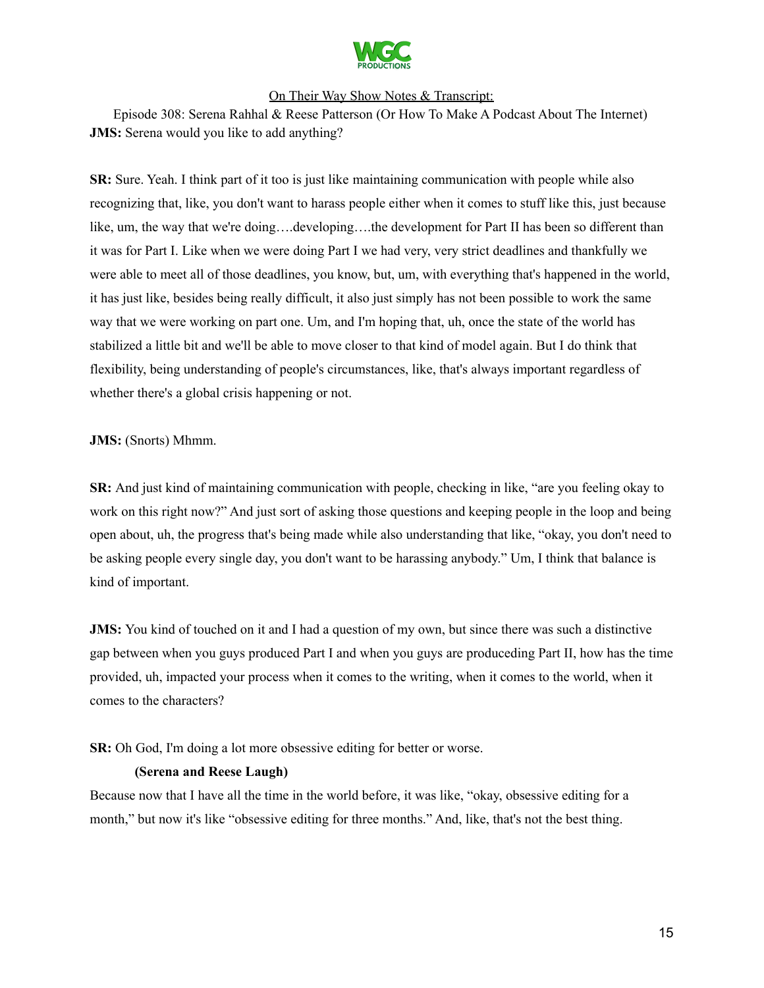

Episode 308: Serena Rahhal & Reese Patterson (Or How To Make A Podcast About The Internet) **JMS:** Serena would you like to add anything?

**SR:** Sure. Yeah. I think part of it too is just like maintaining communication with people while also recognizing that, like, you don't want to harass people either when it comes to stuff like this, just because like, um, the way that we're doing….developing….the development for Part II has been so different than it was for Part I. Like when we were doing Part I we had very, very strict deadlines and thankfully we were able to meet all of those deadlines, you know, but, um, with everything that's happened in the world, it has just like, besides being really difficult, it also just simply has not been possible to work the same way that we were working on part one. Um, and I'm hoping that, uh, once the state of the world has stabilized a little bit and we'll be able to move closer to that kind of model again. But I do think that flexibility, being understanding of people's circumstances, like, that's always important regardless of whether there's a global crisis happening or not.

### **JMS:** (Snorts) Mhmm.

**SR:** And just kind of maintaining communication with people, checking in like, "are you feeling okay to work on this right now?" And just sort of asking those questions and keeping people in the loop and being open about, uh, the progress that's being made while also understanding that like, "okay, you don't need to be asking people every single day, you don't want to be harassing anybody." Um, I think that balance is kind of important.

**JMS:** You kind of touched on it and I had a question of my own, but since there was such a distinctive gap between when you guys produced Part I and when you guys are produceding Part II, how has the time provided, uh, impacted your process when it comes to the writing, when it comes to the world, when it comes to the characters?

### **SR:** Oh God, I'm doing a lot more obsessive editing for better or worse.

### **(Serena and Reese Laugh)**

Because now that I have all the time in the world before, it was like, "okay, obsessive editing for a month," but now it's like "obsessive editing for three months." And, like, that's not the best thing.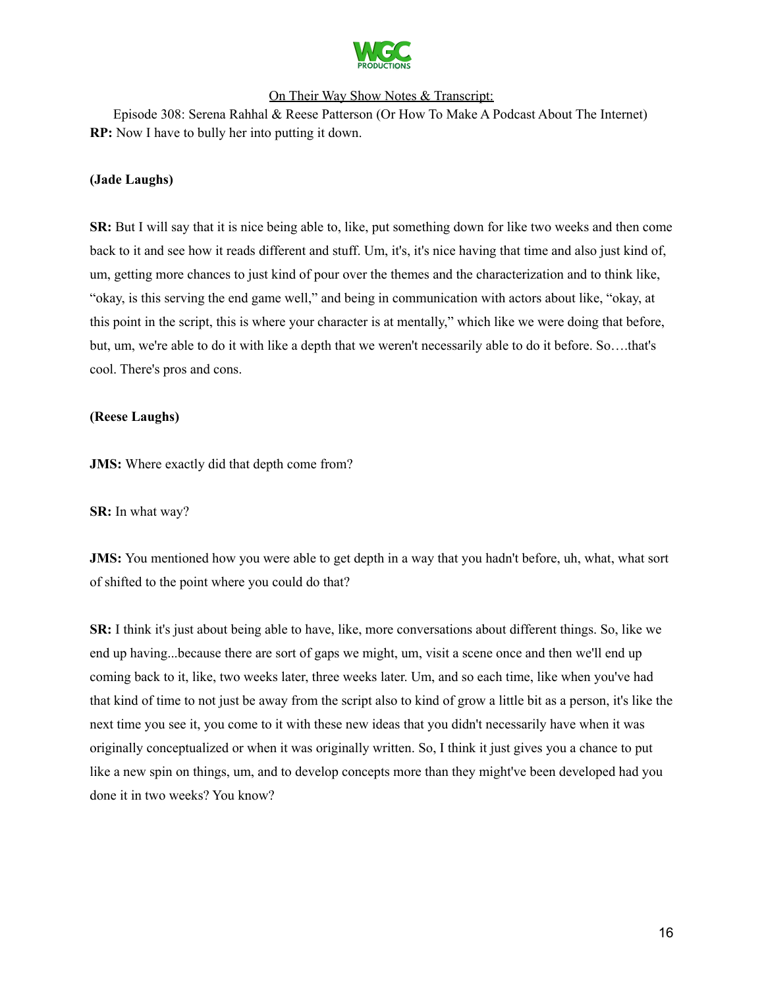

Episode 308: Serena Rahhal & Reese Patterson (Or How To Make A Podcast About The Internet) **RP:** Now I have to bully her into putting it down.

### **(Jade Laughs)**

**SR:** But I will say that it is nice being able to, like, put something down for like two weeks and then come back to it and see how it reads different and stuff. Um, it's, it's nice having that time and also just kind of, um, getting more chances to just kind of pour over the themes and the characterization and to think like, "okay, is this serving the end game well," and being in communication with actors about like, "okay, at this point in the script, this is where your character is at mentally," which like we were doing that before, but, um, we're able to do it with like a depth that we weren't necessarily able to do it before. So….that's cool. There's pros and cons.

### **(Reese Laughs)**

**JMS:** Where exactly did that depth come from?

**SR:** In what way?

**JMS:** You mentioned how you were able to get depth in a way that you hadn't before, uh, what, what sort of shifted to the point where you could do that?

**SR:** I think it's just about being able to have, like, more conversations about different things. So, like we end up having...because there are sort of gaps we might, um, visit a scene once and then we'll end up coming back to it, like, two weeks later, three weeks later. Um, and so each time, like when you've had that kind of time to not just be away from the script also to kind of grow a little bit as a person, it's like the next time you see it, you come to it with these new ideas that you didn't necessarily have when it was originally conceptualized or when it was originally written. So, I think it just gives you a chance to put like a new spin on things, um, and to develop concepts more than they might've been developed had you done it in two weeks? You know?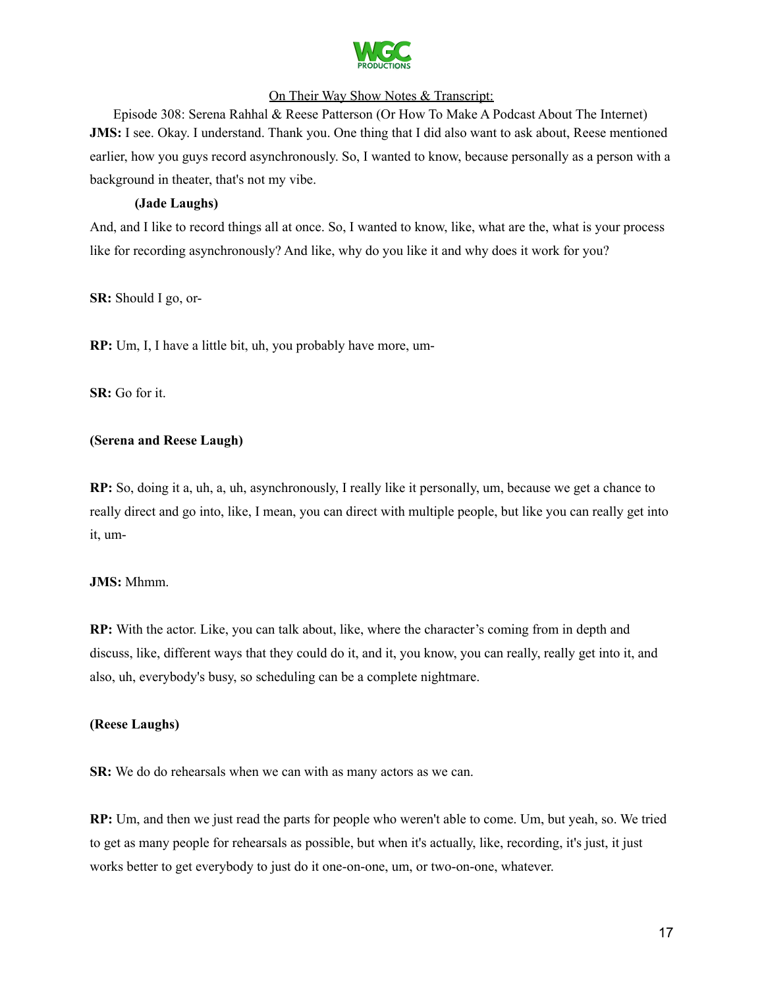

Episode 308: Serena Rahhal & Reese Patterson (Or How To Make A Podcast About The Internet) **JMS:** I see. Okay. I understand. Thank you. One thing that I did also want to ask about, Reese mentioned earlier, how you guys record asynchronously. So, I wanted to know, because personally as a person with a background in theater, that's not my vibe.

### **(Jade Laughs)**

And, and I like to record things all at once. So, I wanted to know, like, what are the, what is your process like for recording asynchronously? And like, why do you like it and why does it work for you?

**SR:** Should I go, or-

**RP:** Um, I, I have a little bit, uh, you probably have more, um-

**SR:** Go for it.

### **(Serena and Reese Laugh)**

**RP:** So, doing it a, uh, a, uh, asynchronously, I really like it personally, um, because we get a chance to really direct and go into, like, I mean, you can direct with multiple people, but like you can really get into it, um-

### **JMS:** Mhmm.

**RP:** With the actor. Like, you can talk about, like, where the character's coming from in depth and discuss, like, different ways that they could do it, and it, you know, you can really, really get into it, and also, uh, everybody's busy, so scheduling can be a complete nightmare.

### **(Reese Laughs)**

**SR:** We do do rehearsals when we can with as many actors as we can.

**RP:** Um, and then we just read the parts for people who weren't able to come. Um, but yeah, so. We tried to get as many people for rehearsals as possible, but when it's actually, like, recording, it's just, it just works better to get everybody to just do it one-on-one, um, or two-on-one, whatever.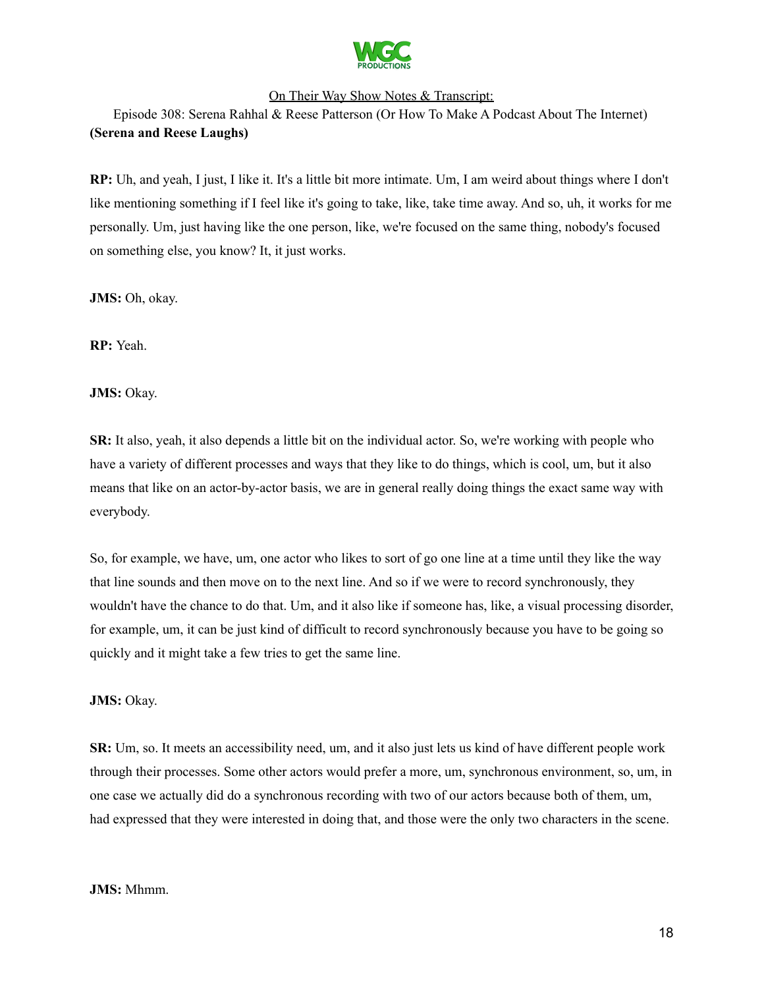

Episode 308: Serena Rahhal & Reese Patterson (Or How To Make A Podcast About The Internet) **(Serena and Reese Laughs)**

**RP:** Uh, and yeah, I just, I like it. It's a little bit more intimate. Um, I am weird about things where I don't like mentioning something if I feel like it's going to take, like, take time away. And so, uh, it works for me personally. Um, just having like the one person, like, we're focused on the same thing, nobody's focused on something else, you know? It, it just works.

**JMS:** Oh, okay.

**RP:** Yeah.

**JMS:** Okay.

**SR:** It also, yeah, it also depends a little bit on the individual actor. So, we're working with people who have a variety of different processes and ways that they like to do things, which is cool, um, but it also means that like on an actor-by-actor basis, we are in general really doing things the exact same way with everybody.

So, for example, we have, um, one actor who likes to sort of go one line at a time until they like the way that line sounds and then move on to the next line. And so if we were to record synchronously, they wouldn't have the chance to do that. Um, and it also like if someone has, like, a visual processing disorder, for example, um, it can be just kind of difficult to record synchronously because you have to be going so quickly and it might take a few tries to get the same line.

### **JMS:** Okay.

**SR:** Um, so. It meets an accessibility need, um, and it also just lets us kind of have different people work through their processes. Some other actors would prefer a more, um, synchronous environment, so, um, in one case we actually did do a synchronous recording with two of our actors because both of them, um, had expressed that they were interested in doing that, and those were the only two characters in the scene.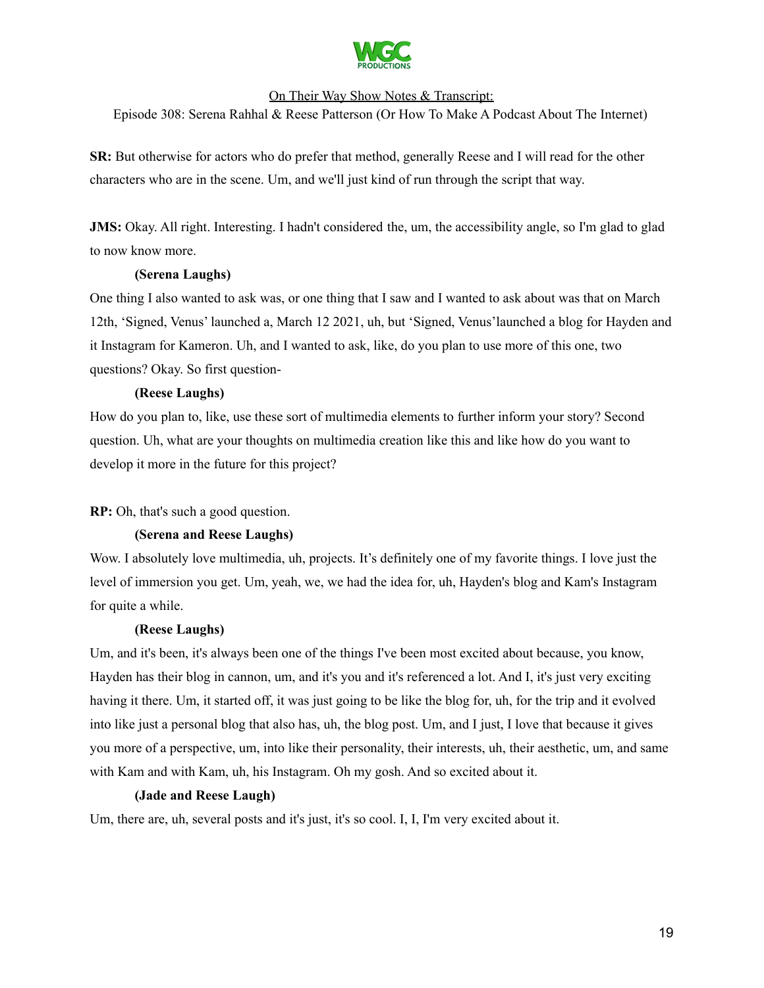

Episode 308: Serena Rahhal & Reese Patterson (Or How To Make A Podcast About The Internet)

**SR:** But otherwise for actors who do prefer that method, generally Reese and I will read for the other characters who are in the scene. Um, and we'll just kind of run through the script that way.

**JMS:** Okay. All right. Interesting. I hadn't considered the, um, the accessibility angle, so I'm glad to glad to now know more.

### **(Serena Laughs)**

One thing I also wanted to ask was, or one thing that I saw and I wanted to ask about was that on March 12th, 'Signed, Venus' launched a, March 12 2021, uh, but 'Signed, Venus'launched a blog for Hayden and it Instagram for Kameron. Uh, and I wanted to ask, like, do you plan to use more of this one, two questions? Okay. So first question-

### **(Reese Laughs)**

How do you plan to, like, use these sort of multimedia elements to further inform your story? Second question. Uh, what are your thoughts on multimedia creation like this and like how do you want to develop it more in the future for this project?

### **RP:** Oh, that's such a good question.

### **(Serena and Reese Laughs)**

Wow. I absolutely love multimedia, uh, projects. It's definitely one of my favorite things. I love just the level of immersion you get. Um, yeah, we, we had the idea for, uh, Hayden's blog and Kam's Instagram for quite a while.

### **(Reese Laughs)**

Um, and it's been, it's always been one of the things I've been most excited about because, you know, Hayden has their blog in cannon, um, and it's you and it's referenced a lot. And I, it's just very exciting having it there. Um, it started off, it was just going to be like the blog for, uh, for the trip and it evolved into like just a personal blog that also has, uh, the blog post. Um, and I just, I love that because it gives you more of a perspective, um, into like their personality, their interests, uh, their aesthetic, um, and same with Kam and with Kam, uh, his Instagram. Oh my gosh. And so excited about it.

### **(Jade and Reese Laugh)**

Um, there are, uh, several posts and it's just, it's so cool. I, I, I'm very excited about it.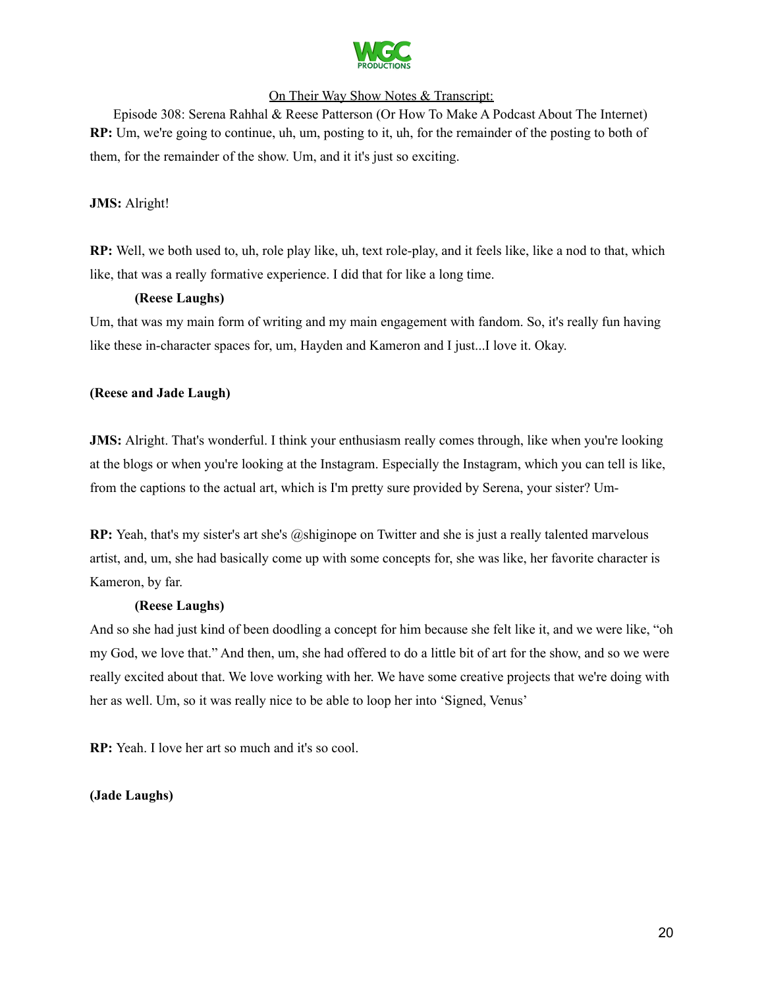

Episode 308: Serena Rahhal & Reese Patterson (Or How To Make A Podcast About The Internet) **RP:** Um, we're going to continue, uh, um, posting to it, uh, for the remainder of the posting to both of them, for the remainder of the show. Um, and it it's just so exciting.

**JMS:** Alright!

**RP:** Well, we both used to, uh, role play like, uh, text role-play, and it feels like, like a nod to that, which like, that was a really formative experience. I did that for like a long time.

### **(Reese Laughs)**

Um, that was my main form of writing and my main engagement with fandom. So, it's really fun having like these in-character spaces for, um, Hayden and Kameron and I just...I love it. Okay.

### **(Reese and Jade Laugh)**

**JMS:** Alright. That's wonderful. I think your enthusiasm really comes through, like when you're looking at the blogs or when you're looking at the Instagram. Especially the Instagram, which you can tell is like, from the captions to the actual art, which is I'm pretty sure provided by Serena, your sister? Um-

**RP:** Yeah, that's my sister's art she's @shiginope on Twitter and she is just a really talented marvelous artist, and, um, she had basically come up with some concepts for, she was like, her favorite character is Kameron, by far.

### **(Reese Laughs)**

And so she had just kind of been doodling a concept for him because she felt like it, and we were like, "oh my God, we love that." And then, um, she had offered to do a little bit of art for the show, and so we were really excited about that. We love working with her. We have some creative projects that we're doing with her as well. Um, so it was really nice to be able to loop her into 'Signed, Venus'

**RP:** Yeah. I love her art so much and it's so cool.

**(Jade Laughs)**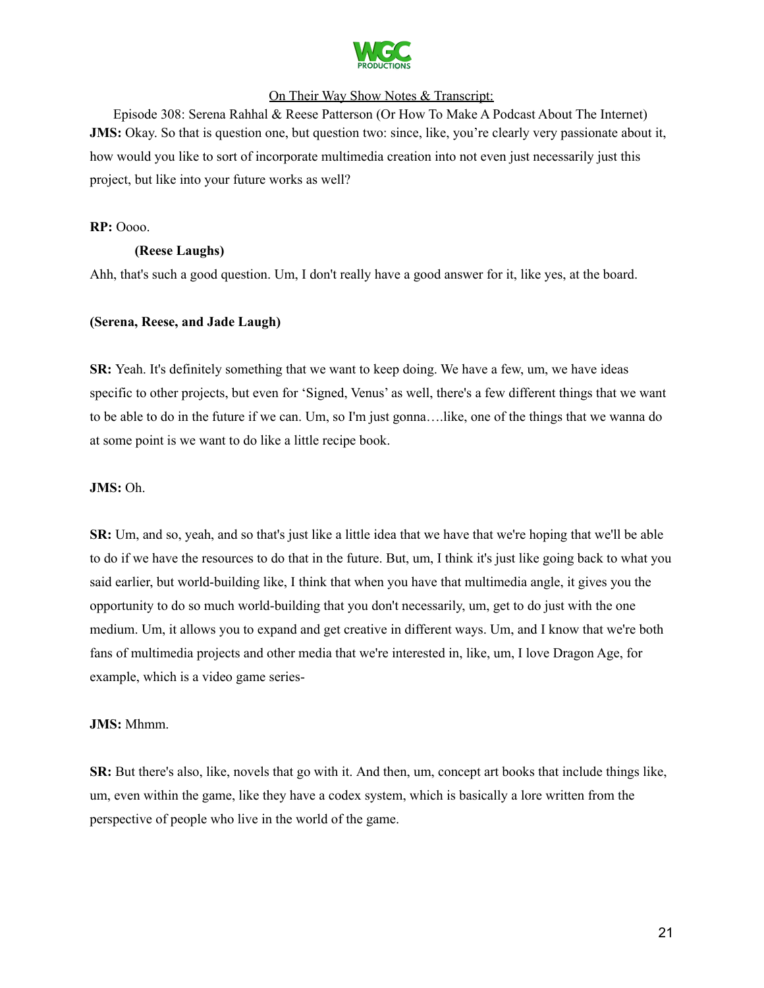

Episode 308: Serena Rahhal & Reese Patterson (Or How To Make A Podcast About The Internet) **JMS:** Okay. So that is question one, but question two: since, like, you're clearly very passionate about it, how would you like to sort of incorporate multimedia creation into not even just necessarily just this project, but like into your future works as well?

#### **RP:** Oooo.

### **(Reese Laughs)**

Ahh, that's such a good question. Um, I don't really have a good answer for it, like yes, at the board.

#### **(Serena, Reese, and Jade Laugh)**

**SR:** Yeah. It's definitely something that we want to keep doing. We have a few, um, we have ideas specific to other projects, but even for 'Signed, Venus' as well, there's a few different things that we want to be able to do in the future if we can. Um, so I'm just gonna….like, one of the things that we wanna do at some point is we want to do like a little recipe book.

#### **JMS:** Oh.

**SR:** Um, and so, yeah, and so that's just like a little idea that we have that we're hoping that we'll be able to do if we have the resources to do that in the future. But, um, I think it's just like going back to what you said earlier, but world-building like, I think that when you have that multimedia angle, it gives you the opportunity to do so much world-building that you don't necessarily, um, get to do just with the one medium. Um, it allows you to expand and get creative in different ways. Um, and I know that we're both fans of multimedia projects and other media that we're interested in, like, um, I love Dragon Age, for example, which is a video game series-

#### **JMS:** Mhmm.

**SR:** But there's also, like, novels that go with it. And then, um, concept art books that include things like, um, even within the game, like they have a codex system, which is basically a lore written from the perspective of people who live in the world of the game.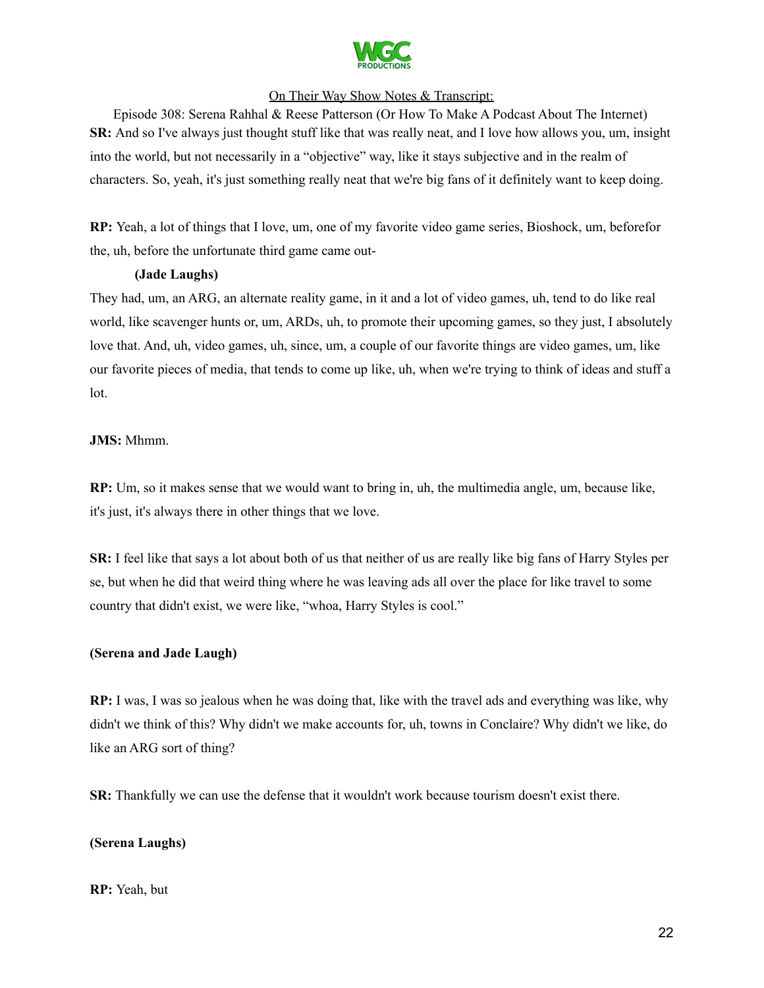

Episode 308: Serena Rahhal & Reese Patterson (Or How To Make A Podcast About The Internet) **SR:** And so I've always just thought stuff like that was really neat, and I love how allows you, um, insight into the world, but not necessarily in a "objective" way, like it stays subjective and in the realm of characters. So, yeah, it's just something really neat that we're big fans of it definitely want to keep doing.

**RP:** Yeah, a lot of things that I love, um, one of my favorite video game series, Bioshock, um, beforefor the, uh, before the unfortunate third game came out-

### **(Jade Laughs)**

They had, um, an ARG, an alternate reality game, in it and a lot of video games, uh, tend to do like real world, like scavenger hunts or, um, ARDs, uh, to promote their upcoming games, so they just, I absolutely love that. And, uh, video games, uh, since, um, a couple of our favorite things are video games, um, like our favorite pieces of media, that tends to come up like, uh, when we're trying to think of ideas and stuff a lot.

### **JMS:** Mhmm.

**RP:** Um, so it makes sense that we would want to bring in, uh, the multimedia angle, um, because like, it's just, it's always there in other things that we love.

**SR:** I feel like that says a lot about both of us that neither of us are really like big fans of Harry Styles per se, but when he did that weird thing where he was leaving ads all over the place for like travel to some country that didn't exist, we were like, "whoa, Harry Styles is cool."

### **(Serena and Jade Laugh)**

**RP:** I was, I was so jealous when he was doing that, like with the travel ads and everything was like, why didn't we think of this? Why didn't we make accounts for, uh, towns in Conclaire? Why didn't we like, do like an ARG sort of thing?

**SR:** Thankfully we can use the defense that it wouldn't work because tourism doesn't exist there.

### **(Serena Laughs)**

### **RP:** Yeah, but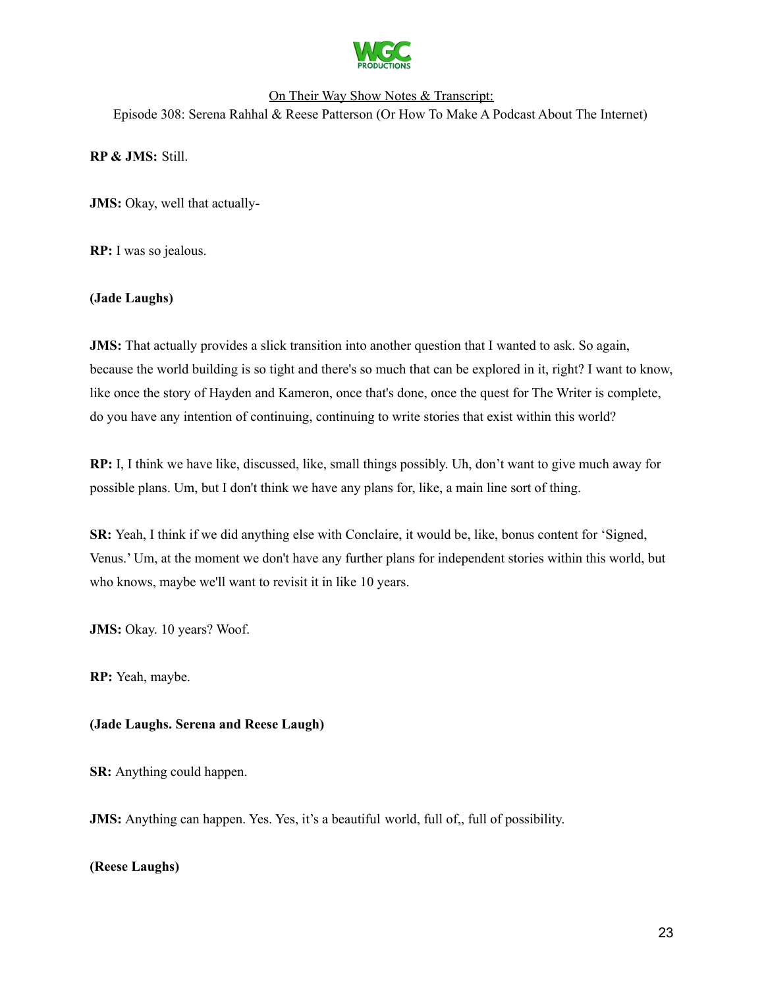

## On Their Way Show Notes & Transcript: Episode 308: Serena Rahhal & Reese Patterson (Or How To Make A Podcast About The Internet)

**RP & JMS:** Still.

**JMS:** Okay, well that actually-

**RP:** I was so jealous.

### **(Jade Laughs)**

**JMS:** That actually provides a slick transition into another question that I wanted to ask. So again, because the world building is so tight and there's so much that can be explored in it, right? I want to know, like once the story of Hayden and Kameron, once that's done, once the quest for The Writer is complete, do you have any intention of continuing, continuing to write stories that exist within this world?

**RP:** I, I think we have like, discussed, like, small things possibly. Uh, don't want to give much away for possible plans. Um, but I don't think we have any plans for, like, a main line sort of thing.

**SR:** Yeah, I think if we did anything else with Conclaire, it would be, like, bonus content for 'Signed, Venus.' Um, at the moment we don't have any further plans for independent stories within this world, but who knows, maybe we'll want to revisit it in like 10 years.

**JMS:** Okay. 10 years? Woof.

**RP:** Yeah, maybe.

### **(Jade Laughs. Serena and Reese Laugh)**

**SR:** Anything could happen.

**JMS:** Anything can happen. Yes. Yes, it's a beautiful world, full of,, full of possibility.

### **(Reese Laughs)**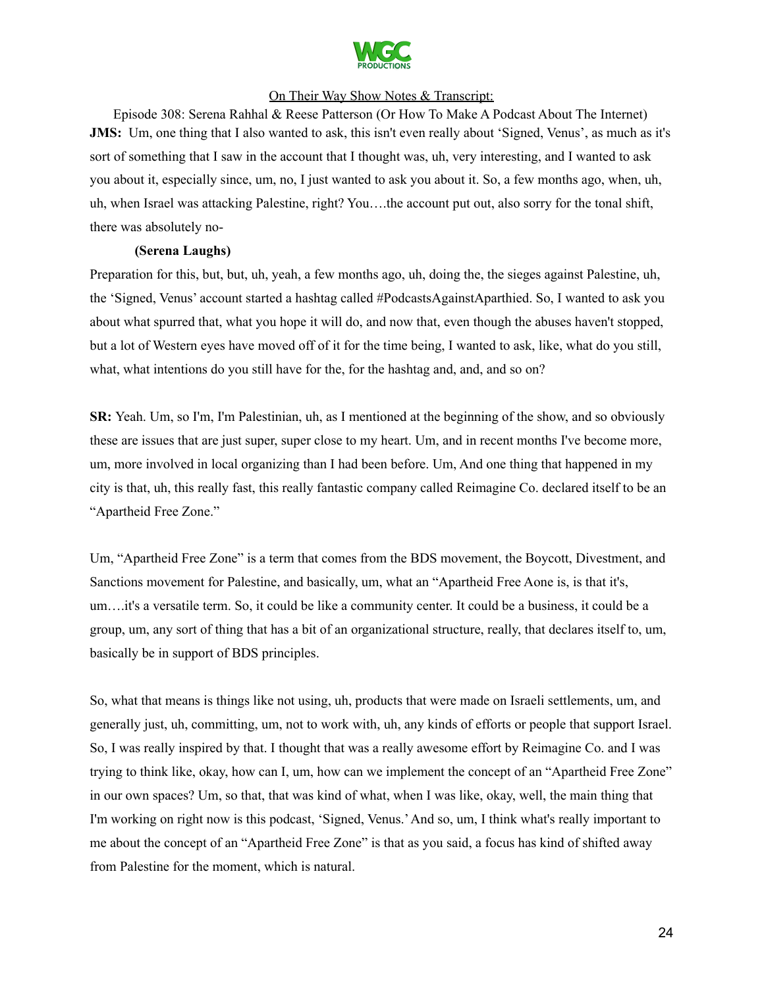

Episode 308: Serena Rahhal & Reese Patterson (Or How To Make A Podcast About The Internet) **JMS:** Um, one thing that I also wanted to ask, this isn't even really about 'Signed, Venus', as much as it's sort of something that I saw in the account that I thought was, uh, very interesting, and I wanted to ask you about it, especially since, um, no, I just wanted to ask you about it. So, a few months ago, when, uh, uh, when Israel was attacking Palestine, right? You….the account put out, also sorry for the tonal shift, there was absolutely no-

### **(Serena Laughs)**

Preparation for this, but, but, uh, yeah, a few months ago, uh, doing the, the sieges against Palestine, uh, the 'Signed, Venus' account started a hashtag called #PodcastsAgainstAparthied. So, I wanted to ask you about what spurred that, what you hope it will do, and now that, even though the abuses haven't stopped, but a lot of Western eyes have moved off of it for the time being, I wanted to ask, like, what do you still, what, what intentions do you still have for the, for the hashtag and, and, and so on?

**SR:** Yeah. Um, so I'm, I'm Palestinian, uh, as I mentioned at the beginning of the show, and so obviously these are issues that are just super, super close to my heart. Um, and in recent months I've become more, um, more involved in local organizing than I had been before. Um, And one thing that happened in my city is that, uh, this really fast, this really fantastic company called Reimagine Co. declared itself to be an "Apartheid Free Zone."

Um, "Apartheid Free Zone" is a term that comes from the BDS movement, the Boycott, Divestment, and Sanctions movement for Palestine, and basically, um, what an "Apartheid Free Aone is, is that it's, um….it's a versatile term. So, it could be like a community center. It could be a business, it could be a group, um, any sort of thing that has a bit of an organizational structure, really, that declares itself to, um, basically be in support of BDS principles.

So, what that means is things like not using, uh, products that were made on Israeli settlements, um, and generally just, uh, committing, um, not to work with, uh, any kinds of efforts or people that support Israel. So, I was really inspired by that. I thought that was a really awesome effort by Reimagine Co. and I was trying to think like, okay, how can I, um, how can we implement the concept of an "Apartheid Free Zone" in our own spaces? Um, so that, that was kind of what, when I was like, okay, well, the main thing that I'm working on right now is this podcast, 'Signed, Venus.'And so, um, I think what's really important to me about the concept of an "Apartheid Free Zone" is that as you said, a focus has kind of shifted away from Palestine for the moment, which is natural.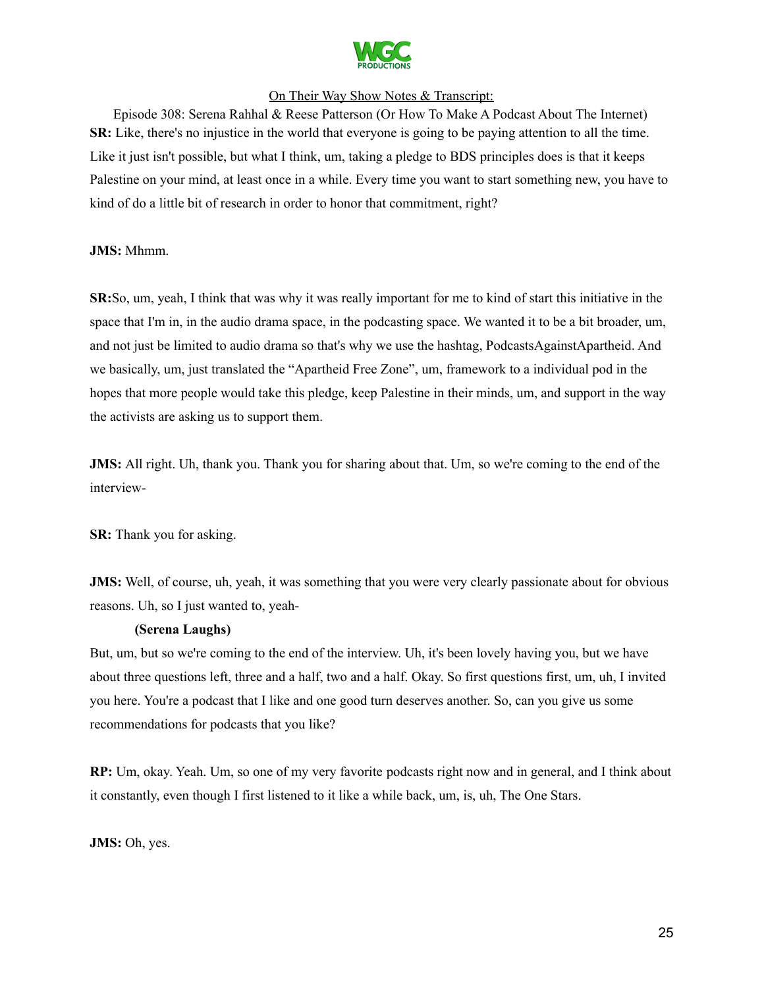

Episode 308: Serena Rahhal & Reese Patterson (Or How To Make A Podcast About The Internet) **SR:** Like, there's no injustice in the world that everyone is going to be paying attention to all the time. Like it just isn't possible, but what I think, um, taking a pledge to BDS principles does is that it keeps Palestine on your mind, at least once in a while. Every time you want to start something new, you have to kind of do a little bit of research in order to honor that commitment, right?

### **JMS:** Mhmm.

**SR:**So, um, yeah, I think that was why it was really important for me to kind of start this initiative in the space that I'm in, in the audio drama space, in the podcasting space. We wanted it to be a bit broader, um, and not just be limited to audio drama so that's why we use the hashtag, PodcastsAgainstApartheid. And we basically, um, just translated the "Apartheid Free Zone", um, framework to a individual pod in the hopes that more people would take this pledge, keep Palestine in their minds, um, and support in the way the activists are asking us to support them.

**JMS:** All right. Uh, thank you. Thank you for sharing about that. Um, so we're coming to the end of the interview-

**SR:** Thank you for asking.

**JMS:** Well, of course, uh, yeah, it was something that you were very clearly passionate about for obvious reasons. Uh, so I just wanted to, yeah-

### **(Serena Laughs)**

But, um, but so we're coming to the end of the interview. Uh, it's been lovely having you, but we have about three questions left, three and a half, two and a half. Okay. So first questions first, um, uh, I invited you here. You're a podcast that I like and one good turn deserves another. So, can you give us some recommendations for podcasts that you like?

**RP:** Um, okay. Yeah. Um, so one of my very favorite podcasts right now and in general, and I think about it constantly, even though I first listened to it like a while back, um, is, uh, The One Stars.

**JMS:** Oh, yes.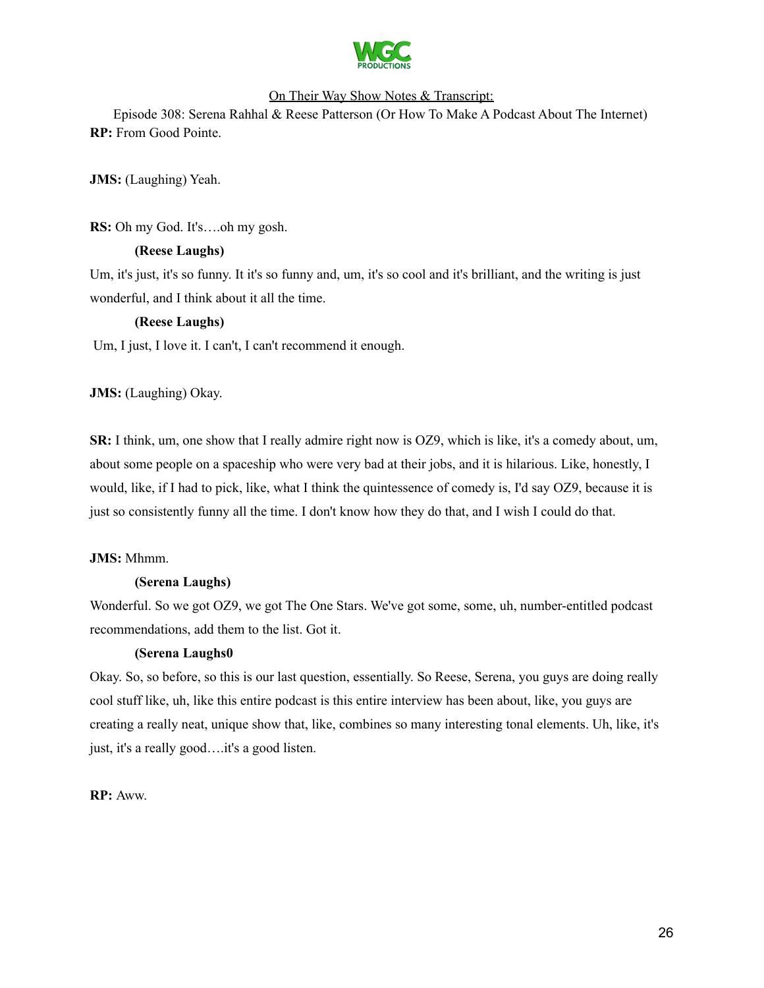

Episode 308: Serena Rahhal & Reese Patterson (Or How To Make A Podcast About The Internet) **RP:** From Good Pointe.

**JMS:** (Laughing) Yeah.

**RS:** Oh my God. It's….oh my gosh.

### **(Reese Laughs)**

Um, it's just, it's so funny. It it's so funny and, um, it's so cool and it's brilliant, and the writing is just wonderful, and I think about it all the time.

### **(Reese Laughs)**

Um, I just, I love it. I can't, I can't recommend it enough.

### **JMS:** (Laughing) Okay.

**SR:** I think, um, one show that I really admire right now is OZ9, which is like, it's a comedy about, um, about some people on a spaceship who were very bad at their jobs, and it is hilarious. Like, honestly, I would, like, if I had to pick, like, what I think the quintessence of comedy is, I'd say OZ9, because it is just so consistently funny all the time. I don't know how they do that, and I wish I could do that.

### **JMS:** Mhmm.

### **(Serena Laughs)**

Wonderful. So we got OZ9, we got The One Stars. We've got some, some, uh, number-entitled podcast recommendations, add them to the list. Got it.

### **(Serena Laughs0**

Okay. So, so before, so this is our last question, essentially. So Reese, Serena, you guys are doing really cool stuff like, uh, like this entire podcast is this entire interview has been about, like, you guys are creating a really neat, unique show that, like, combines so many interesting tonal elements. Uh, like, it's just, it's a really good….it's a good listen.

**RP:** Aww.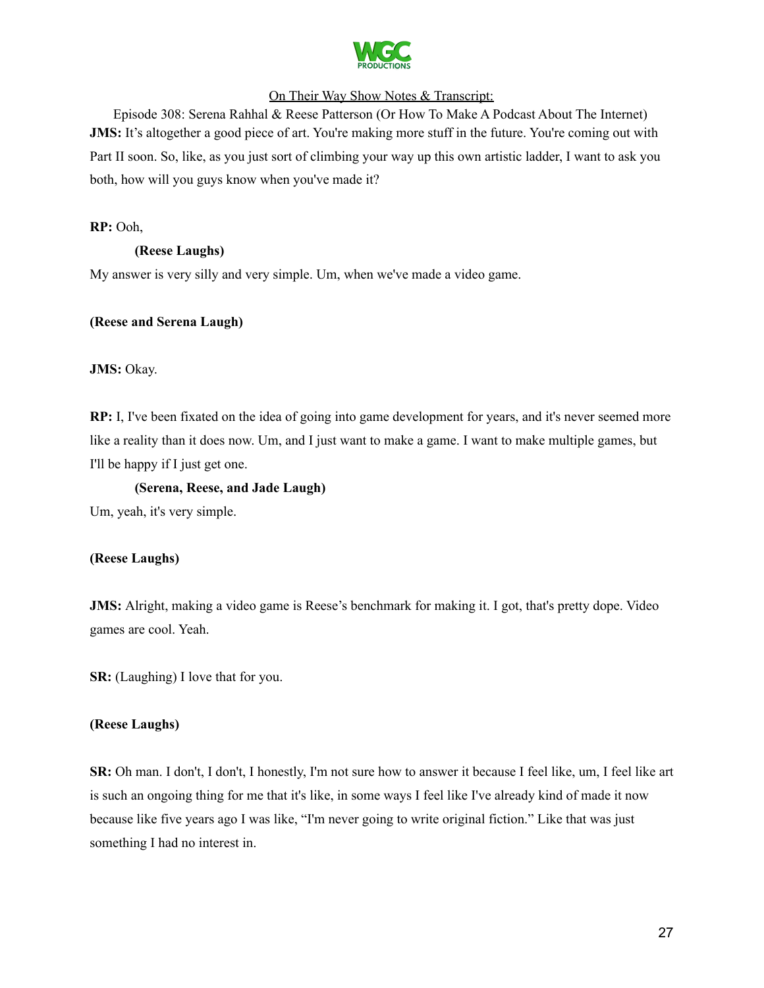

Episode 308: Serena Rahhal & Reese Patterson (Or How To Make A Podcast About The Internet) **JMS:** It's altogether a good piece of art. You're making more stuff in the future. You're coming out with Part II soon. So, like, as you just sort of climbing your way up this own artistic ladder, I want to ask you both, how will you guys know when you've made it?

**RP:** Ooh,

### **(Reese Laughs)**

My answer is very silly and very simple. Um, when we've made a video game.

### **(Reese and Serena Laugh)**

**JMS:** Okay.

**RP:** I, I've been fixated on the idea of going into game development for years, and it's never seemed more like a reality than it does now. Um, and I just want to make a game. I want to make multiple games, but I'll be happy if I just get one.

### **(Serena, Reese, and Jade Laugh)**

Um, yeah, it's very simple.

### **(Reese Laughs)**

**JMS:** Alright, making a video game is Reese's benchmark for making it. I got, that's pretty dope. Video games are cool. Yeah.

**SR:** (Laughing) I love that for you.

### **(Reese Laughs)**

**SR:** Oh man. I don't, I don't, I honestly, I'm not sure how to answer it because I feel like, um, I feel like art is such an ongoing thing for me that it's like, in some ways I feel like I've already kind of made it now because like five years ago I was like, "I'm never going to write original fiction." Like that was just something I had no interest in.